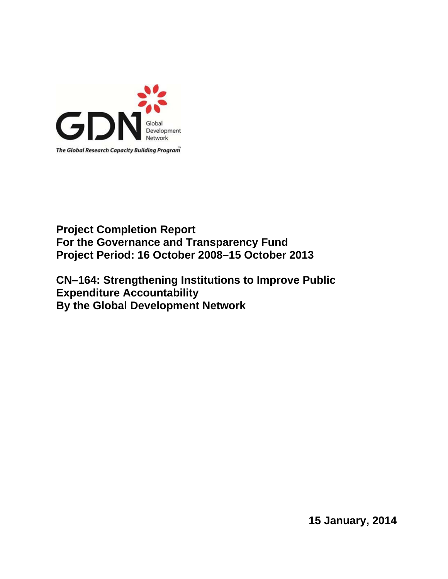

# **Project Completion Report For the Governance and Transparency Fund Project Period: 16 October 2008–15 October 2013**

**CN–164: Strengthening Institutions to Improve Public Expenditure Accountability By the Global Development Network** 

**15 January, 2014**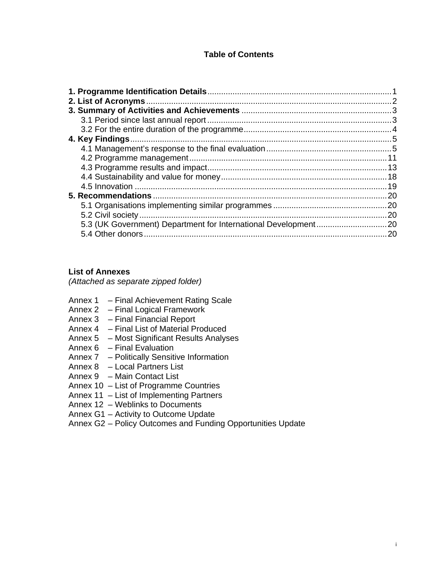## **Table of Contents**

### **List of Annexes**

*(Attached as separate zipped folder)*

- Annex 1 Final Achievement Rating Scale
- Annex 2 Final Logical Framework
- Annex 3 Final Financial Report
- Annex 4 Final List of Material Produced
- Annex 5 Most Significant Results Analyses
- Annex 6 Final Evaluation
- Annex 7 Politically Sensitive Information
- Annex 8 Local Partners List
- Annex 9 Main Contact List
- Annex 10 List of Programme Countries
- Annex 11 List of Implementing Partners
- Annex 12 Weblinks to Documents
- Annex G1 Activity to Outcome Update

Annex G2 – Policy Outcomes and Funding Opportunities Update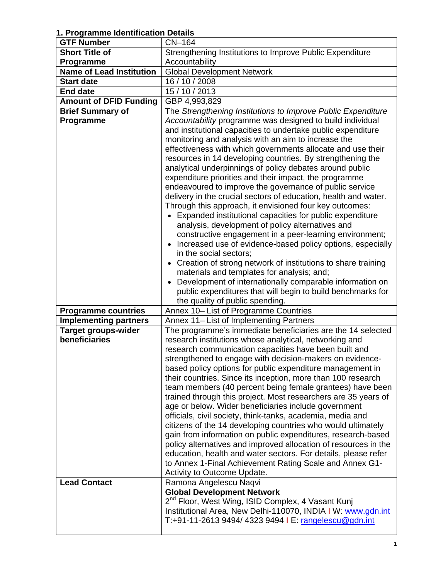**1. Programme Identification Details** 

| <b>GTF Number</b>               | CN-164                                                                                                                       |  |
|---------------------------------|------------------------------------------------------------------------------------------------------------------------------|--|
| <b>Short Title of</b>           | Strengthening Institutions to Improve Public Expenditure                                                                     |  |
| Programme                       | Accountability                                                                                                               |  |
| <b>Name of Lead Institution</b> | <b>Global Development Network</b>                                                                                            |  |
| <b>Start date</b>               | 16 / 10 / 2008                                                                                                               |  |
| <b>End date</b>                 | 15 / 10 / 2013                                                                                                               |  |
| <b>Amount of DFID Funding</b>   | GBP 4,993,829                                                                                                                |  |
| <b>Brief Summary of</b>         | The Strengthening Institutions to Improve Public Expenditure                                                                 |  |
| Programme                       | Accountability programme was designed to build individual                                                                    |  |
|                                 | and institutional capacities to undertake public expenditure                                                                 |  |
|                                 | monitoring and analysis with an aim to increase the                                                                          |  |
|                                 | effectiveness with which governments allocate and use their                                                                  |  |
|                                 | resources in 14 developing countries. By strengthening the                                                                   |  |
|                                 | analytical underpinnings of policy debates around public                                                                     |  |
|                                 | expenditure priorities and their impact, the programme                                                                       |  |
|                                 | endeavoured to improve the governance of public service                                                                      |  |
|                                 | delivery in the crucial sectors of education, health and water.                                                              |  |
|                                 | Through this approach, it envisioned four key outcomes:                                                                      |  |
|                                 | Expanded institutional capacities for public expenditure                                                                     |  |
|                                 | analysis, development of policy alternatives and                                                                             |  |
|                                 | constructive engagement in a peer-learning environment;                                                                      |  |
|                                 | Increased use of evidence-based policy options, especially                                                                   |  |
|                                 | in the social sectors;                                                                                                       |  |
|                                 | • Creation of strong network of institutions to share training                                                               |  |
|                                 | materials and templates for analysis; and;                                                                                   |  |
|                                 | Development of internationally comparable information on                                                                     |  |
|                                 | public expenditures that will begin to build benchmarks for                                                                  |  |
|                                 |                                                                                                                              |  |
|                                 | the quality of public spending.                                                                                              |  |
| <b>Programme countries</b>      | Annex 10- List of Programme Countries                                                                                        |  |
| <b>Implementing partners</b>    | Annex 11– List of Implementing Partners                                                                                      |  |
| <b>Target groups-wider</b>      | The programme's immediate beneficiaries are the 14 selected                                                                  |  |
| beneficiaries                   | research institutions whose analytical, networking and                                                                       |  |
|                                 | research communication capacities have been built and                                                                        |  |
|                                 | strengthened to engage with decision-makers on evidence-                                                                     |  |
|                                 | based policy options for public expenditure management in                                                                    |  |
|                                 | their countries. Since its inception, more than 100 research                                                                 |  |
|                                 | team members (40 percent being female grantees) have been                                                                    |  |
|                                 | trained through this project. Most researchers are 35 years of                                                               |  |
|                                 | age or below. Wider beneficiaries include government                                                                         |  |
|                                 | officials, civil society, think-tanks, academia, media and                                                                   |  |
|                                 | citizens of the 14 developing countries who would ultimately<br>gain from information on public expenditures, research-based |  |
|                                 | policy alternatives and improved allocation of resources in the                                                              |  |
|                                 | education, health and water sectors. For details, please refer                                                               |  |
|                                 | to Annex 1-Final Achievement Rating Scale and Annex G1-                                                                      |  |
|                                 | Activity to Outcome Update.                                                                                                  |  |
| <b>Lead Contact</b>             | Ramona Angelescu Naqvi                                                                                                       |  |
|                                 | <b>Global Development Network</b>                                                                                            |  |
|                                 | 2 <sup>nd</sup> Floor, West Wing, ISID Complex, 4 Vasant Kunj                                                                |  |
|                                 | Institutional Area, New Delhi-110070, INDIA I W: www.gdn.int                                                                 |  |
|                                 | T:+91-11-2613 9494/ 4323 9494   E: rangelescu@gdn.int                                                                        |  |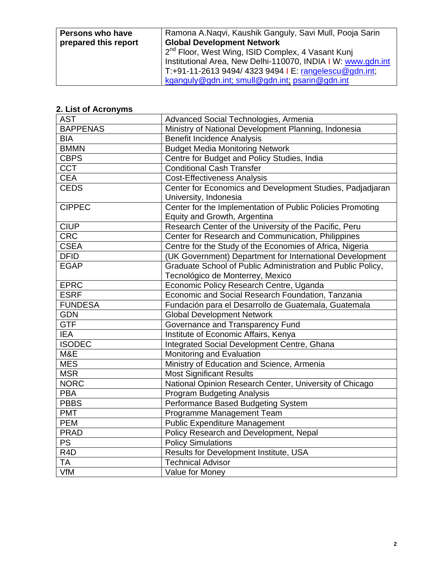| Persons who have     | Ramona A.Naqvi, Kaushik Ganguly, Savi Mull, Pooja Sarin      |
|----------------------|--------------------------------------------------------------|
| prepared this report | <b>Global Development Network</b>                            |
|                      | $2nd$ Floor, West Wing, ISID Complex, 4 Vasant Kunj          |
|                      | Institutional Area, New Delhi-110070, INDIA I W: www.gdn.int |
|                      | T:+91-11-2613 9494/ 4323 9494   E: rangelescu@gdn.int;       |
|                      | kganguly@gdn.int; smull@gdn.int; psarin@gdn.int              |

# **2. List of Acronyms**

| <b>AST</b>       | Advanced Social Technologies, Armenia                       |
|------------------|-------------------------------------------------------------|
| <b>BAPPENAS</b>  | Ministry of National Development Planning, Indonesia        |
| <b>BIA</b>       | <b>Benefit Incidence Analysis</b>                           |
| <b>BMMN</b>      | <b>Budget Media Monitoring Network</b>                      |
| <b>CBPS</b>      | Centre for Budget and Policy Studies, India                 |
| <b>CCT</b>       | <b>Conditional Cash Transfer</b>                            |
| <b>CEA</b>       | <b>Cost-Effectiveness Analysis</b>                          |
| <b>CEDS</b>      | Center for Economics and Development Studies, Padjadjaran   |
|                  | University, Indonesia                                       |
| <b>CIPPEC</b>    | Center for the Implementation of Public Policies Promoting  |
|                  | Equity and Growth, Argentina                                |
| <b>CIUP</b>      | Research Center of the University of the Pacific, Peru      |
| <b>CRC</b>       | Center for Research and Communication, Philippines          |
| <b>CSEA</b>      | Centre for the Study of the Economies of Africa, Nigeria    |
| <b>DFID</b>      | (UK Government) Department for International Development    |
| <b>EGAP</b>      | Graduate School of Public Administration and Public Policy, |
|                  | Tecnológico de Monterrey, Mexico                            |
| <b>EPRC</b>      | Economic Policy Research Centre, Uganda                     |
| <b>ESRF</b>      | Economic and Social Research Foundation, Tanzania           |
| <b>FUNDESA</b>   | Fundación para el Desarrollo de Guatemala, Guatemala        |
| <b>GDN</b>       | <b>Global Development Network</b>                           |
| <b>GTF</b>       | Governance and Transparency Fund                            |
| <b>IEA</b>       | Institute of Economic Affairs, Kenya                        |
| <b>ISODEC</b>    | Integrated Social Development Centre, Ghana                 |
| M&E              | Monitoring and Evaluation                                   |
| <b>MES</b>       | Ministry of Education and Science, Armenia                  |
| <b>MSR</b>       | <b>Most Significant Results</b>                             |
| <b>NORC</b>      | National Opinion Research Center, University of Chicago     |
| $\overline{PBA}$ | <b>Program Budgeting Analysis</b>                           |
| <b>PBBS</b>      | Performance Based Budgeting System                          |
| <b>PMT</b>       | Programme Management Team                                   |
| <b>PEM</b>       | <b>Public Expenditure Management</b>                        |
| <b>PRAD</b>      | Policy Research and Development, Nepal                      |
| PS               | <b>Policy Simulations</b>                                   |
| R <sub>4</sub> D | Results for Development Institute, USA                      |
| <b>TA</b>        | <b>Technical Advisor</b>                                    |
| VfM              | Value for Money                                             |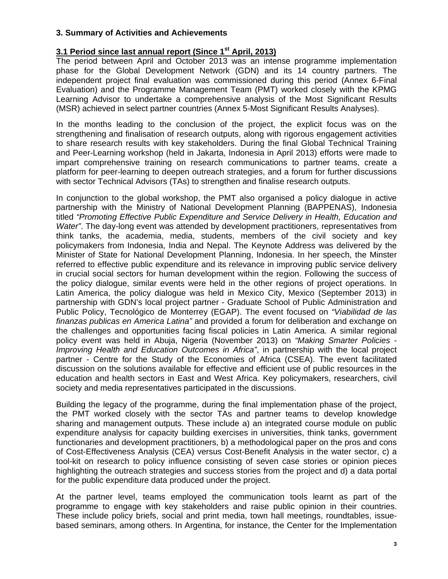## **3. Summary of Activities and Achievements**

## **3.1 Period since last annual report (Since 1st April, 2013)**

The period between April and October 2013 was an intense programme implementation phase for the Global Development Network (GDN) and its 14 country partners. The independent project final evaluation was commissioned during this period (Annex 6-Final Evaluation) and the Programme Management Team (PMT) worked closely with the KPMG Learning Advisor to undertake a comprehensive analysis of the Most Significant Results (MSR) achieved in select partner countries (Annex 5-Most Significant Results Analyses).

In the months leading to the conclusion of the project, the explicit focus was on the strengthening and finalisation of research outputs, along with rigorous engagement activities to share research results with key stakeholders. During the final Global Technical Training and Peer-Learning workshop (held in Jakarta, Indonesia in April 2013) efforts were made to impart comprehensive training on research communications to partner teams, create a platform for peer-learning to deepen outreach strategies, and a forum for further discussions with sector Technical Advisors (TAs) to strengthen and finalise research outputs.

In conjunction to the global workshop, the PMT also organised a policy dialogue in active partnership with the Ministry of National Development Planning (BAPPENAS), Indonesia titled *"Promoting Effective Public Expenditure and Service Delivery in Health, Education and Water"*. The day-long event was attended by development practitioners, representatives from think tanks, the academia, media, students, members of the civil society and key policymakers from Indonesia, India and Nepal. The Keynote Address was delivered by the Minister of State for National Development Planning, Indonesia. In her speech, the Minster referred to effective public expenditure and its relevance in improving public service delivery in crucial social sectors for human development within the region. Following the success of the policy dialogue, similar events were held in the other regions of project operations. In Latin America, the policy dialogue was held in Mexico City, Mexico (September 2013) in partnership with GDN's local project partner - Graduate School of Public Administration and Public Policy, Tecnológico de Monterrey (EGAP). The event focused on *"Viabilidad de las finanzas publicas en America Latina"* and provided a forum for deliberation and exchange on the challenges and opportunities facing fiscal policies in Latin America. A similar regional policy event was held in Abuja, Nigeria (November 2013) on *"Making Smarter Policies - Improving Health and Education Outcomes in Africa"*, in partnership with the local project partner - Centre for the Study of the Economies of Africa (CSEA). The event facilitated discussion on the solutions available for effective and efficient use of public resources in the education and health sectors in East and West Africa. Key policymakers, researchers, civil society and media representatives participated in the discussions.

Building the legacy of the programme, during the final implementation phase of the project, the PMT worked closely with the sector TAs and partner teams to develop knowledge sharing and management outputs. These include a) an integrated course module on public expenditure analysis for capacity building exercises in universities, think tanks, government functionaries and development practitioners, b) a methodological paper on the pros and cons of Cost-Effectiveness Analysis (CEA) versus Cost-Benefit Analysis in the water sector, c) a tool-kit on research to policy influence consisting of seven case stories or opinion pieces highlighting the outreach strategies and success stories from the project and d) a data portal for the public expenditure data produced under the project.

At the partner level, teams employed the communication tools learnt as part of the programme to engage with key stakeholders and raise public opinion in their countries. These include policy briefs, social and print media, town hall meetings, roundtables, issuebased seminars, among others. In Argentina, for instance, the Center for the Implementation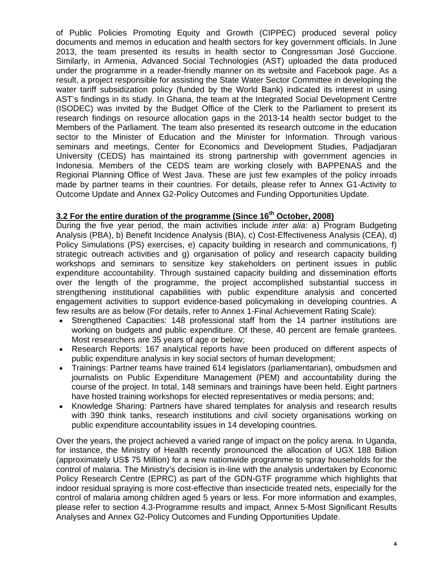of Public Policies Promoting Equity and Growth (CIPPEC) produced several policy documents and memos in education and health sectors for key government officials. In June 2013, the team presented its results in health sector to Congressman José Guccione. Similarly, in Armenia, Advanced Social Technologies (AST) uploaded the data produced under the programme in a reader-friendly manner on its website and Facebook page. As a result, a project responsible for assisting the State Water Sector Committee in developing the water tariff subsidization policy (funded by the World Bank) indicated its interest in using AST's findings in its study. In Ghana, the team at the Integrated Social Development Centre (ISODEC) was invited by the Budget Office of the Clerk to the Parliament to present its research findings on resource allocation gaps in the 2013-14 health sector budget to the Members of the Parliament. The team also presented its research outcome in the education sector to the Minister of Education and the Minister for Information. Through various seminars and meetings, Center for Economics and Development Studies, Padjadjaran University (CEDS) has maintained its strong partnership with government agencies in Indonesia. Members of the CEDS team are working closely with BAPPENAS and the Regional Planning Office of West Java. These are just few examples of the policy inroads made by partner teams in their countries. For details, please refer to Annex G1-Activity to Outcome Update and Annex G2-Policy Outcomes and Funding Opportunities Update.

## **3.2 For the entire duration of the programme (Since 16th October, 2008)**

During the five year period, the main activities include *inter alia*: a) Program Budgeting Analysis (PBA), b) Benefit Incidence Analysis (BIA), c) Cost-Effectiveness Analysis (CEA), d) Policy Simulations (PS) exercises, e) capacity building in research and communications, f) strategic outreach activities and g) organisation of policy and research capacity building workshops and seminars to sensitize key stakeholders on pertinent issues in public expenditure accountability. Through sustained capacity building and dissemination efforts over the length of the programme, the project accomplished substantial success in strengthening institutional capabilities with public expenditure analysis and concerted engagement activities to support evidence-based policymaking in developing countries. A few results are as below (For details, refer to Annex 1-Final Achievement Rating Scale):

- Strengthened Capacities: 148 professional staff from the 14 partner institutions are working on budgets and public expenditure. Of these, 40 percent are female grantees. Most researchers are 35 years of age or below;
- Research Reports: 167 analytical reports have been produced on different aspects of public expenditure analysis in key social sectors of human development;
- Trainings: Partner teams have trained 614 legislators (parliamentarian), ombudsmen and journalists on Public Expenditure Management (PEM) and accountability during the course of the project. In total, 148 seminars and trainings have been held. Eight partners have hosted training workshops for elected representatives or media persons; and;
- Knowledge Sharing: Partners have shared templates for analysis and research results with 390 think tanks, research institutions and civil society organisations working on public expenditure accountability issues in 14 developing countries.

Over the years, the project achieved a varied range of impact on the policy arena. In Uganda, for instance, the Ministry of Health recently pronounced the allocation of UGX 188 Billion (approximately US\$ 75 Million) for a new nationwide programme to spray households for the control of malaria. The Ministry's decision is in-line with the analysis undertaken by Economic Policy Research Centre (EPRC) as part of the GDN-GTF programme which highlights that indoor residual spraying is more cost-effective than insecticide treated nets, especially for the control of malaria among children aged 5 years or less. For more information and examples, please refer to section 4.3-Programme results and impact, Annex 5-Most Significant Results Analyses and Annex G2-Policy Outcomes and Funding Opportunities Update.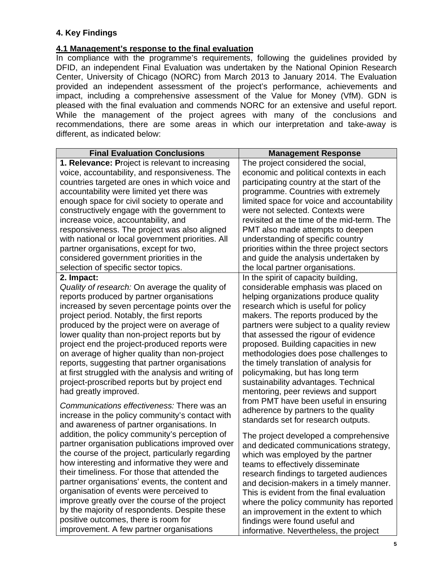# **4. Key Findings**

## **4.1 Management's response to the final evaluation**

In compliance with the programme's requirements, following the guidelines provided by DFID, an independent Final Evaluation was undertaken by the National Opinion Research Center, University of Chicago (NORC) from March 2013 to January 2014. The Evaluation provided an independent assessment of the project's performance, achievements and impact, including a comprehensive assessment of the Value for Money (VfM). GDN is pleased with the final evaluation and commends NORC for an extensive and useful report. While the management of the project agrees with many of the conclusions and recommendations, there are some areas in which our interpretation and take-away is different, as indicated below:

| <b>Final Evaluation Conclusions</b>                    | <b>Management Response</b>                  |
|--------------------------------------------------------|---------------------------------------------|
| <b>1. Relevance: Project is relevant to increasing</b> | The project considered the social,          |
| voice, accountability, and responsiveness. The         | economic and political contexts in each     |
| countries targeted are ones in which voice and         | participating country at the start of the   |
| accountability were limited yet there was              | programme. Countries with extremely         |
| enough space for civil society to operate and          | limited space for voice and accountability  |
| constructively engage with the government to           | were not selected. Contexts were            |
| increase voice, accountability, and                    | revisited at the time of the mid-term. The  |
| responsiveness. The project was also aligned           | PMT also made attempts to deepen            |
| with national or local government priorities. All      | understanding of specific country           |
| partner organisations, except for two,                 | priorities within the three project sectors |
| considered government priorities in the                | and guide the analysis undertaken by        |
| selection of specific sector topics.                   | the local partner organisations.            |
| 2. Impact:                                             | In the spirit of capacity building,         |
| Quality of research: On average the quality of         | considerable emphasis was placed on         |
| reports produced by partner organisations              | helping organizations produce quality       |
| increased by seven percentage points over the          | research which is useful for policy         |
| project period. Notably, the first reports             | makers. The reports produced by the         |
| produced by the project were on average of             | partners were subject to a quality review   |
| lower quality than non-project reports but by          | that assessed the rigour of evidence        |
| project end the project-produced reports were          | proposed. Building capacities in new        |
| on average of higher quality than non-project          | methodologies does pose challenges to       |
| reports, suggesting that partner organisations         | the timely translation of analysis for      |
| at first struggled with the analysis and writing of    | policymaking, but has long term             |
| project-proscribed reports but by project end          | sustainability advantages. Technical        |
| had greatly improved.                                  | mentoring, peer reviews and support         |
|                                                        | from PMT have been useful in ensuring       |
| Communications effectiveness: There was an             | adherence by partners to the quality        |
| increase in the policy community's contact with        | standards set for research outputs.         |
| and awareness of partner organisations. In             |                                             |
| addition, the policy community's perception of         | The project developed a comprehensive       |
| partner organisation publications improved over        | and dedicated communications strategy,      |
| the course of the project, particularly regarding      | which was employed by the partner           |
| how interesting and informative they were and          | teams to effectively disseminate            |
| their timeliness. For those that attended the          | research findings to targeted audiences     |
| partner organisations' events, the content and         | and decision-makers in a timely manner.     |
| organisation of events were perceived to               | This is evident from the final evaluation   |
| improve greatly over the course of the project         | where the policy community has reported     |
| by the majority of respondents. Despite these          | an improvement in the extent to which       |
| positive outcomes, there is room for                   | findings were found useful and              |
| improvement. A few partner organisations               | informative. Nevertheless, the project      |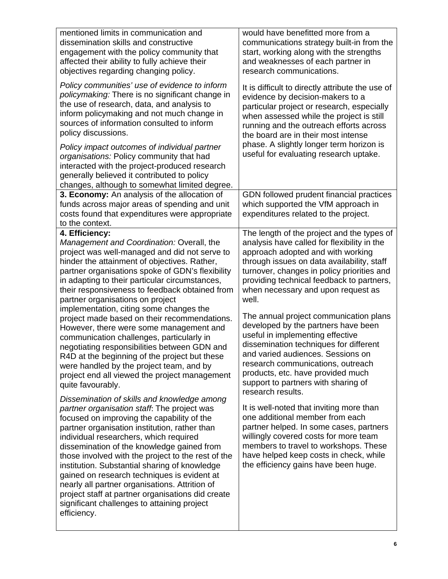| mentioned limits in communication and                                                                                                                                                                                                                                                                                                                                                                                                                                                                                                                                                                        | would have benefitted more from a                                                                                                                                                                                                                                                          |
|--------------------------------------------------------------------------------------------------------------------------------------------------------------------------------------------------------------------------------------------------------------------------------------------------------------------------------------------------------------------------------------------------------------------------------------------------------------------------------------------------------------------------------------------------------------------------------------------------------------|--------------------------------------------------------------------------------------------------------------------------------------------------------------------------------------------------------------------------------------------------------------------------------------------|
| dissemination skills and constructive                                                                                                                                                                                                                                                                                                                                                                                                                                                                                                                                                                        | communications strategy built-in from the                                                                                                                                                                                                                                                  |
| engagement with the policy community that                                                                                                                                                                                                                                                                                                                                                                                                                                                                                                                                                                    | start, working along with the strengths                                                                                                                                                                                                                                                    |
| affected their ability to fully achieve their                                                                                                                                                                                                                                                                                                                                                                                                                                                                                                                                                                | and weaknesses of each partner in                                                                                                                                                                                                                                                          |
| objectives regarding changing policy.                                                                                                                                                                                                                                                                                                                                                                                                                                                                                                                                                                        | research communications.                                                                                                                                                                                                                                                                   |
| Policy communities' use of evidence to inform                                                                                                                                                                                                                                                                                                                                                                                                                                                                                                                                                                | It is difficult to directly attribute the use of                                                                                                                                                                                                                                           |
| policymaking: There is no significant change in                                                                                                                                                                                                                                                                                                                                                                                                                                                                                                                                                              | evidence by decision-makers to a                                                                                                                                                                                                                                                           |
| the use of research, data, and analysis to                                                                                                                                                                                                                                                                                                                                                                                                                                                                                                                                                                   | particular project or research, especially                                                                                                                                                                                                                                                 |
| inform policymaking and not much change in                                                                                                                                                                                                                                                                                                                                                                                                                                                                                                                                                                   | when assessed while the project is still                                                                                                                                                                                                                                                   |
| sources of information consulted to inform                                                                                                                                                                                                                                                                                                                                                                                                                                                                                                                                                                   | running and the outreach efforts across                                                                                                                                                                                                                                                    |
| policy discussions.                                                                                                                                                                                                                                                                                                                                                                                                                                                                                                                                                                                          | the board are in their most intense                                                                                                                                                                                                                                                        |
| Policy impact outcomes of individual partner<br>organisations: Policy community that had<br>interacted with the project-produced research<br>generally believed it contributed to policy<br>changes, although to somewhat limited degree.                                                                                                                                                                                                                                                                                                                                                                    | phase. A slightly longer term horizon is<br>useful for evaluating research uptake.                                                                                                                                                                                                         |
| 3. Economy: An analysis of the allocation of<br>funds across major areas of spending and unit<br>costs found that expenditures were appropriate<br>to the context.                                                                                                                                                                                                                                                                                                                                                                                                                                           | GDN followed prudent financial practices<br>which supported the VfM approach in<br>expenditures related to the project.                                                                                                                                                                    |
| 4. Efficiency:                                                                                                                                                                                                                                                                                                                                                                                                                                                                                                                                                                                               | The length of the project and the types of                                                                                                                                                                                                                                                 |
| Management and Coordination: Overall, the                                                                                                                                                                                                                                                                                                                                                                                                                                                                                                                                                                    | analysis have called for flexibility in the                                                                                                                                                                                                                                                |
| project was well-managed and did not serve to                                                                                                                                                                                                                                                                                                                                                                                                                                                                                                                                                                | approach adopted and with working                                                                                                                                                                                                                                                          |
| hinder the attainment of objectives. Rather,                                                                                                                                                                                                                                                                                                                                                                                                                                                                                                                                                                 | through issues on data availability, staff                                                                                                                                                                                                                                                 |
| partner organisations spoke of GDN's flexibility                                                                                                                                                                                                                                                                                                                                                                                                                                                                                                                                                             | turnover, changes in policy priorities and                                                                                                                                                                                                                                                 |
| in adapting to their particular circumstances,                                                                                                                                                                                                                                                                                                                                                                                                                                                                                                                                                               | providing technical feedback to partners,                                                                                                                                                                                                                                                  |
| their responsiveness to feedback obtained from                                                                                                                                                                                                                                                                                                                                                                                                                                                                                                                                                               | when necessary and upon request as                                                                                                                                                                                                                                                         |
| partner organisations on project                                                                                                                                                                                                                                                                                                                                                                                                                                                                                                                                                                             | well.                                                                                                                                                                                                                                                                                      |
| implementation, citing some changes the                                                                                                                                                                                                                                                                                                                                                                                                                                                                                                                                                                      | The annual project communication plans                                                                                                                                                                                                                                                     |
| project made based on their recommendations.                                                                                                                                                                                                                                                                                                                                                                                                                                                                                                                                                                 | developed by the partners have been                                                                                                                                                                                                                                                        |
| However, there were some management and                                                                                                                                                                                                                                                                                                                                                                                                                                                                                                                                                                      | useful in implementing effective                                                                                                                                                                                                                                                           |
| communication challenges, particularly in                                                                                                                                                                                                                                                                                                                                                                                                                                                                                                                                                                    | dissemination techniques for different                                                                                                                                                                                                                                                     |
| negotiating responsibilities between GDN and                                                                                                                                                                                                                                                                                                                                                                                                                                                                                                                                                                 | and varied audiences. Sessions on                                                                                                                                                                                                                                                          |
| R4D at the beginning of the project but these                                                                                                                                                                                                                                                                                                                                                                                                                                                                                                                                                                | research communications, outreach                                                                                                                                                                                                                                                          |
| were handled by the project team, and by                                                                                                                                                                                                                                                                                                                                                                                                                                                                                                                                                                     | products, etc. have provided much                                                                                                                                                                                                                                                          |
| project end all viewed the project management                                                                                                                                                                                                                                                                                                                                                                                                                                                                                                                                                                | support to partners with sharing of                                                                                                                                                                                                                                                        |
| quite favourably.                                                                                                                                                                                                                                                                                                                                                                                                                                                                                                                                                                                            | research results.                                                                                                                                                                                                                                                                          |
| Dissemination of skills and knowledge among<br>partner organisation staff: The project was<br>focused on improving the capability of the<br>partner organisation institution, rather than<br>individual researchers, which required<br>dissemination of the knowledge gained from<br>those involved with the project to the rest of the<br>institution. Substantial sharing of knowledge<br>gained on research techniques is evident at<br>nearly all partner organisations. Attrition of<br>project staff at partner organisations did create<br>significant challenges to attaining project<br>efficiency. | It is well-noted that inviting more than<br>one additional member from each<br>partner helped. In some cases, partners<br>willingly covered costs for more team<br>members to travel to workshops. These<br>have helped keep costs in check, while<br>the efficiency gains have been huge. |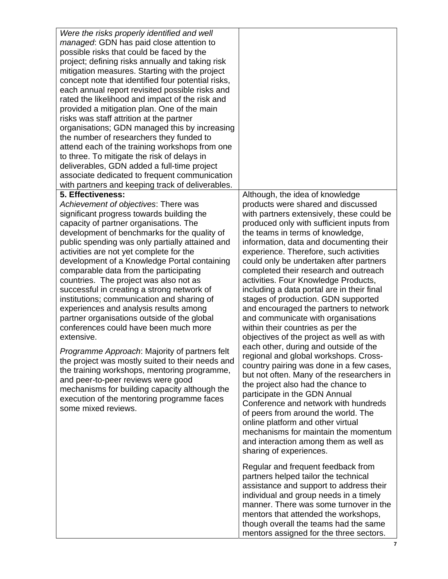| Were the risks properly identified and well        |                                            |
|----------------------------------------------------|--------------------------------------------|
| <i>managed</i> : GDN has paid close attention to   |                                            |
| possible risks that could be faced by the          |                                            |
| project; defining risks annually and taking risk   |                                            |
| mitigation measures. Starting with the project     |                                            |
| concept note that identified four potential risks, |                                            |
| each annual report revisited possible risks and    |                                            |
| rated the likelihood and impact of the risk and    |                                            |
| provided a mitigation plan. One of the main        |                                            |
| risks was staff attrition at the partner           |                                            |
| organisations; GDN managed this by increasing      |                                            |
| the number of researchers they funded to           |                                            |
| attend each of the training workshops from one     |                                            |
| to three. To mitigate the risk of delays in        |                                            |
| deliverables, GDN added a full-time project        |                                            |
| associate dedicated to frequent communication      |                                            |
| with partners and keeping track of deliverables.   |                                            |
| 5. Effectiveness:                                  | Although, the idea of knowledge            |
| Achievement of objectives: There was               | products were shared and discussed         |
| significant progress towards building the          | with partners extensively, these could be  |
| capacity of partner organisations. The             | produced only with sufficient inputs from  |
| development of benchmarks for the quality of       | the teams in terms of knowledge,           |
| public spending was only partially attained and    | information, data and documenting their    |
| activities are not yet complete for the            | experience. Therefore, such activities     |
| development of a Knowledge Portal containing       | could only be undertaken after partners    |
| comparable data from the participating             | completed their research and outreach      |
| countries. The project was also not as             | activities. Four Knowledge Products,       |
| successful in creating a strong network of         | including a data portal are in their final |
| institutions; communication and sharing of         | stages of production. GDN supported        |
| experiences and analysis results among             | and encouraged the partners to network     |
| partner organisations outside of the global        | and communicate with organisations         |
| conferences could have been much more              | within their countries as per the          |
| extensive.                                         | objectives of the project as well as with  |
| Programme Approach: Majority of partners felt      | each other, during and outside of the      |
| the project was mostly suited to their needs and   | regional and global workshops. Cross-      |
| the training workshops, mentoring programme,       | country pairing was done in a few cases,   |
| and peer-to-peer reviews were good                 | but not often. Many of the researchers in  |
| mechanisms for building capacity although the      | the project also had the chance to         |
| execution of the mentoring programme faces         | participate in the GDN Annual              |
| some mixed reviews.                                | Conference and network with hundreds       |
|                                                    | of peers from around the world. The        |
|                                                    | online platform and other virtual          |
|                                                    | mechanisms for maintain the momentum       |
|                                                    | and interaction among them as well as      |
|                                                    | sharing of experiences.                    |
|                                                    |                                            |
|                                                    | Regular and frequent feedback from         |
|                                                    | partners helped tailor the technical       |
|                                                    | assistance and support to address their    |
|                                                    | individual and group needs in a timely     |
|                                                    | manner. There was some turnover in the     |
|                                                    | mentors that attended the workshops,       |
|                                                    | though overall the teams had the same      |
|                                                    | mentors assigned for the three sectors.    |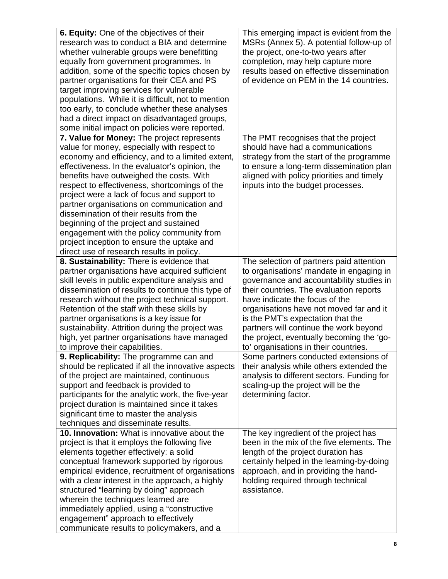| <b>6. Equity:</b> One of the objectives of their                              | This emerging impact is evident from the                                           |
|-------------------------------------------------------------------------------|------------------------------------------------------------------------------------|
| research was to conduct a BIA and determine                                   | MSRs (Annex 5). A potential follow-up of                                           |
| whether vulnerable groups were benefitting                                    | the project, one-to-two years after                                                |
| equally from government programmes. In                                        | completion, may help capture more                                                  |
| addition, some of the specific topics chosen by                               | results based on effective dissemination                                           |
| partner organisations for their CEA and PS                                    | of evidence on PEM in the 14 countries.                                            |
| target improving services for vulnerable                                      |                                                                                    |
| populations. While it is difficult, not to mention                            |                                                                                    |
| too early, to conclude whether these analyses                                 |                                                                                    |
| had a direct impact on disadvantaged groups,                                  |                                                                                    |
| some initial impact on policies were reported.                                |                                                                                    |
| 7. Value for Money: The project represents                                    | The PMT recognises that the project                                                |
| value for money, especially with respect to                                   | should have had a communications                                                   |
| economy and efficiency, and to a limited extent,                              | strategy from the start of the programme                                           |
| effectiveness. In the evaluator's opinion, the                                | to ensure a long-term dissemination plan                                           |
| benefits have outweighed the costs. With                                      | aligned with policy priorities and timely                                          |
| respect to effectiveness, shortcomings of the                                 | inputs into the budget processes.                                                  |
| project were a lack of focus and support to                                   |                                                                                    |
| partner organisations on communication and                                    |                                                                                    |
| dissemination of their results from the                                       |                                                                                    |
| beginning of the project and sustained                                        |                                                                                    |
| engagement with the policy community from                                     |                                                                                    |
| project inception to ensure the uptake and                                    |                                                                                    |
| direct use of research results in policy.                                     |                                                                                    |
| 8. Sustainability: There is evidence that                                     | The selection of partners paid attention                                           |
| partner organisations have acquired sufficient                                | to organisations' mandate in engaging in                                           |
| skill levels in public expenditure analysis and                               | governance and accountability studies in                                           |
| dissemination of results to continue this type of                             | their countries. The evaluation reports                                            |
| research without the project technical support.                               | have indicate the focus of the                                                     |
| Retention of the staff with these skills by                                   | organisations have not moved far and it                                            |
| partner organisations is a key issue for                                      | is the PMT's expectation that the                                                  |
| sustainability. Attrition during the project was                              | partners will continue the work beyond                                             |
| high, yet partner organisations have managed                                  | the project, eventually becoming the 'go-                                          |
| to improve their capabilities.                                                | to' organisations in their countries.                                              |
| 9. Replicability: The programme can and                                       | Some partners conducted extensions of                                              |
| should be replicated if all the innovative aspects                            | their analysis while others extended the                                           |
| of the project are maintained, continuous                                     | analysis to different sectors. Funding for                                         |
| support and feedback is provided to                                           | scaling-up the project will be the                                                 |
| participants for the analytic work, the five-year                             | determining factor.                                                                |
| project duration is maintained since it takes                                 |                                                                                    |
| significant time to master the analysis                                       |                                                                                    |
| techniques and disseminate results.                                           |                                                                                    |
| 10. Innovation: What is innovative about the                                  | The key ingredient of the project has<br>been in the mix of the five elements. The |
| project is that it employs the following five                                 |                                                                                    |
| elements together effectively: a solid                                        | length of the project duration has                                                 |
| conceptual framework supported by rigorous                                    | certainly helped in the learning-by-doing                                          |
| empirical evidence, recruitment of organisations                              | approach, and in providing the hand-                                               |
| with a clear interest in the approach, a highly                               | holding required through technical<br>assistance.                                  |
| structured "learning by doing" approach<br>wherein the techniques learned are |                                                                                    |
| immediately applied, using a "constructive"                                   |                                                                                    |
| engagement" approach to effectively                                           |                                                                                    |
| communicate results to policymakers, and a                                    |                                                                                    |
|                                                                               |                                                                                    |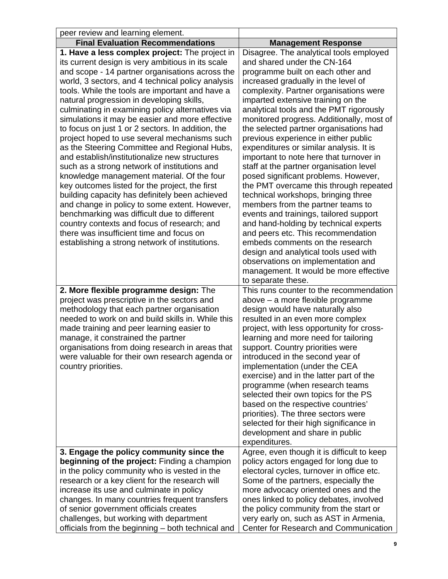| <b>Final Evaluation Recommendations</b><br><b>Management Response</b><br>1. Have a less complex project: The project in<br>its current design is very ambitious in its scale<br>and shared under the CN-164<br>and scope - 14 partner organisations across the<br>programme built on each other and<br>world, 3 sectors, and 4 technical policy analysis<br>increased gradually in the level of<br>tools. While the tools are important and have a<br>complexity. Partner organisations were<br>natural progression in developing skills,<br>imparted extensive training on the<br>culminating in examining policy alternatives via<br>analytical tools and the PMT rigorously<br>simulations it may be easier and more effective<br>to focus on just 1 or 2 sectors. In addition, the<br>the selected partner organisations had<br>previous experience in either public<br>project hoped to use several mechanisms such<br>expenditures or similar analysis. It is<br>as the Steering Committee and Regional Hubs,<br>important to note here that turnover in<br>and establish/institutionalize new structures<br>such as a strong network of institutions and<br>staff at the partner organisation level<br>knowledge management material. Of the four<br>posed significant problems. However,<br>key outcomes listed for the project, the first<br>building capacity has definitely been achieved<br>technical workshops, bringing three<br>and change in policy to some extent. However,<br>members from the partner teams to<br>benchmarking was difficult due to different<br>events and trainings, tailored support<br>and hand-holding by technical experts<br>country contexts and focus of research; and<br>there was insufficient time and focus on<br>and peers etc. This recommendation<br>embeds comments on the research<br>establishing a strong network of institutions.<br>design and analytical tools used with<br>observations on implementation and<br>to separate these.<br>2. More flexible programme design: The<br>project was prescriptive in the sectors and<br>above - a more flexible programme<br>methodology that each partner organisation<br>design would have naturally also<br>needed to work on and build skills in. While this<br>resulted in an even more complex<br>project, with less opportunity for cross-<br>made training and peer learning easier to<br>manage, it constrained the partner<br>learning and more need for tailoring<br>organisations from doing research in areas that<br>support. Country priorities were<br>were valuable for their own research agenda or<br>introduced in the second year of<br>country priorities.<br>implementation (under the CEA<br>exercise) and in the latter part of the<br>programme (when research teams<br>selected their own topics for the PS<br>based on the respective countries'<br>priorities). The three sectors were<br>selected for their high significance in<br>development and share in public<br>expenditures.<br>3. Engage the policy community since the<br>policy actors engaged for long due to<br><b>beginning of the project:</b> Finding a champion<br>in the policy community who is vested in the<br>electoral cycles, turnover in office etc.<br>research or a key client for the research will<br>Some of the partners, especially the<br>increase its use and culminate in policy<br>more advocacy oriented ones and the<br>changes. In many countries frequent transfers<br>ones linked to policy debates, involved<br>of senior government officials creates<br>the policy community from the start or | peer review and learning element.       |                                                                                                                                                                          |
|-----------------------------------------------------------------------------------------------------------------------------------------------------------------------------------------------------------------------------------------------------------------------------------------------------------------------------------------------------------------------------------------------------------------------------------------------------------------------------------------------------------------------------------------------------------------------------------------------------------------------------------------------------------------------------------------------------------------------------------------------------------------------------------------------------------------------------------------------------------------------------------------------------------------------------------------------------------------------------------------------------------------------------------------------------------------------------------------------------------------------------------------------------------------------------------------------------------------------------------------------------------------------------------------------------------------------------------------------------------------------------------------------------------------------------------------------------------------------------------------------------------------------------------------------------------------------------------------------------------------------------------------------------------------------------------------------------------------------------------------------------------------------------------------------------------------------------------------------------------------------------------------------------------------------------------------------------------------------------------------------------------------------------------------------------------------------------------------------------------------------------------------------------------------------------------------------------------------------------------------------------------------------------------------------------------------------------------------------------------------------------------------------------------------------------------------------------------------------------------------------------------------------------------------------------------------------------------------------------------------------------------------------------------------------------------------------------------------------------------------------------------------------------------------------------------------------------------------------------------------------------------------------------------------------------------------------------------------------------------------------------------------------------------------------------------------------------------------------------------------------------------------------------------------------------------------------------------------------------------------------------------------------------------------------------------------------------------------------------------------------------------------------------------------------------------------------------------------------------------------------------------------------------------------------------------------------------------------------------------------------------|-----------------------------------------|--------------------------------------------------------------------------------------------------------------------------------------------------------------------------|
|                                                                                                                                                                                                                                                                                                                                                                                                                                                                                                                                                                                                                                                                                                                                                                                                                                                                                                                                                                                                                                                                                                                                                                                                                                                                                                                                                                                                                                                                                                                                                                                                                                                                                                                                                                                                                                                                                                                                                                                                                                                                                                                                                                                                                                                                                                                                                                                                                                                                                                                                                                                                                                                                                                                                                                                                                                                                                                                                                                                                                                                                                                                                                                                                                                                                                                                                                                                                                                                                                                                                                                                                                             |                                         |                                                                                                                                                                          |
|                                                                                                                                                                                                                                                                                                                                                                                                                                                                                                                                                                                                                                                                                                                                                                                                                                                                                                                                                                                                                                                                                                                                                                                                                                                                                                                                                                                                                                                                                                                                                                                                                                                                                                                                                                                                                                                                                                                                                                                                                                                                                                                                                                                                                                                                                                                                                                                                                                                                                                                                                                                                                                                                                                                                                                                                                                                                                                                                                                                                                                                                                                                                                                                                                                                                                                                                                                                                                                                                                                                                                                                                                             |                                         | Disagree. The analytical tools employed<br>monitored progress. Additionally, most of<br>the PMT overcame this through repeated<br>management. It would be more effective |
|                                                                                                                                                                                                                                                                                                                                                                                                                                                                                                                                                                                                                                                                                                                                                                                                                                                                                                                                                                                                                                                                                                                                                                                                                                                                                                                                                                                                                                                                                                                                                                                                                                                                                                                                                                                                                                                                                                                                                                                                                                                                                                                                                                                                                                                                                                                                                                                                                                                                                                                                                                                                                                                                                                                                                                                                                                                                                                                                                                                                                                                                                                                                                                                                                                                                                                                                                                                                                                                                                                                                                                                                                             |                                         | This runs counter to the recommendation                                                                                                                                  |
|                                                                                                                                                                                                                                                                                                                                                                                                                                                                                                                                                                                                                                                                                                                                                                                                                                                                                                                                                                                                                                                                                                                                                                                                                                                                                                                                                                                                                                                                                                                                                                                                                                                                                                                                                                                                                                                                                                                                                                                                                                                                                                                                                                                                                                                                                                                                                                                                                                                                                                                                                                                                                                                                                                                                                                                                                                                                                                                                                                                                                                                                                                                                                                                                                                                                                                                                                                                                                                                                                                                                                                                                                             |                                         | Agree, even though it is difficult to keep                                                                                                                               |
| officials from the beginning - both technical and                                                                                                                                                                                                                                                                                                                                                                                                                                                                                                                                                                                                                                                                                                                                                                                                                                                                                                                                                                                                                                                                                                                                                                                                                                                                                                                                                                                                                                                                                                                                                                                                                                                                                                                                                                                                                                                                                                                                                                                                                                                                                                                                                                                                                                                                                                                                                                                                                                                                                                                                                                                                                                                                                                                                                                                                                                                                                                                                                                                                                                                                                                                                                                                                                                                                                                                                                                                                                                                                                                                                                                           | challenges, but working with department | very early on, such as AST in Armenia,<br>Center for Research and Communication                                                                                          |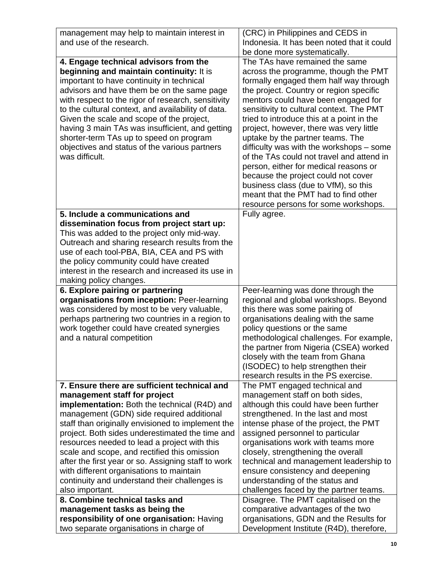| management may help to maintain interest in         | (CRC) in Philippines and CEDS in                                               |
|-----------------------------------------------------|--------------------------------------------------------------------------------|
| and use of the research.                            | Indonesia. It has been noted that it could                                     |
|                                                     |                                                                                |
| 4. Engage technical advisors from the               | be done more systematically.<br>The TAs have remained the same                 |
| beginning and maintain continuity: It is            |                                                                                |
|                                                     | across the programme, though the PMT<br>formally engaged them half way through |
| important to have continuity in technical           |                                                                                |
| advisors and have them be on the same page          | the project. Country or region specific                                        |
| with respect to the rigor of research, sensitivity  | mentors could have been engaged for                                            |
| to the cultural context, and availability of data.  | sensitivity to cultural context. The PMT                                       |
| Given the scale and scope of the project,           | tried to introduce this at a point in the                                      |
| having 3 main TAs was insufficient, and getting     | project, however, there was very little                                        |
| shorter-term TAs up to speed on program             | uptake by the partner teams. The                                               |
| objectives and status of the various partners       | difficulty was with the workshops - some                                       |
| was difficult.                                      | of the TAs could not travel and attend in                                      |
|                                                     | person, either for medical reasons or                                          |
|                                                     | because the project could not cover<br>business class (due to VfM), so this    |
|                                                     | meant that the PMT had to find other                                           |
|                                                     | resource persons for some workshops.                                           |
| 5. Include a communications and                     | Fully agree.                                                                   |
| dissemination focus from project start up:          |                                                                                |
| This was added to the project only mid-way.         |                                                                                |
| Outreach and sharing research results from the      |                                                                                |
| use of each tool-PBA, BIA, CEA and PS with          |                                                                                |
| the policy community could have created             |                                                                                |
| interest in the research and increased its use in   |                                                                                |
| making policy changes.                              |                                                                                |
| 6. Explore pairing or partnering                    | Peer-learning was done through the                                             |
| organisations from inception: Peer-learning         | regional and global workshops. Beyond                                          |
| was considered by most to be very valuable,         | this there was some pairing of                                                 |
| perhaps partnering two countries in a region to     | organisations dealing with the same                                            |
| work together could have created synergies          | policy questions or the same                                                   |
| and a natural competition                           | methodological challenges. For example,                                        |
|                                                     | the partner from Nigeria (CSEA) worked                                         |
|                                                     | closely with the team from Ghana                                               |
|                                                     | (ISODEC) to help strengthen their                                              |
|                                                     | research results in the PS exercise.                                           |
| 7. Ensure there are sufficient technical and        | The PMT engaged technical and                                                  |
| management staff for project                        | management staff on both sides,                                                |
| implementation: Both the technical (R4D) and        | although this could have been further                                          |
| management (GDN) side required additional           | strengthened. In the last and most                                             |
| staff than originally envisioned to implement the   | intense phase of the project, the PMT                                          |
| project. Both sides underestimated the time and     | assigned personnel to particular                                               |
| resources needed to lead a project with this        | organisations work with teams more                                             |
| scale and scope, and rectified this omission        | closely, strengthening the overall                                             |
| after the first year or so. Assigning staff to work | technical and management leadership to                                         |
| with different organisations to maintain            | ensure consistency and deepening                                               |
| continuity and understand their challenges is       | understanding of the status and                                                |
| also important.<br>8. Combine technical tasks and   | challenges faced by the partner teams.                                         |
| management tasks as being the                       | Disagree. The PMT capitalised on the<br>comparative advantages of the two      |
| responsibility of one organisation: Having          | organisations, GDN and the Results for                                         |
|                                                     |                                                                                |
| two separate organisations in charge of             | Development Institute (R4D), therefore,                                        |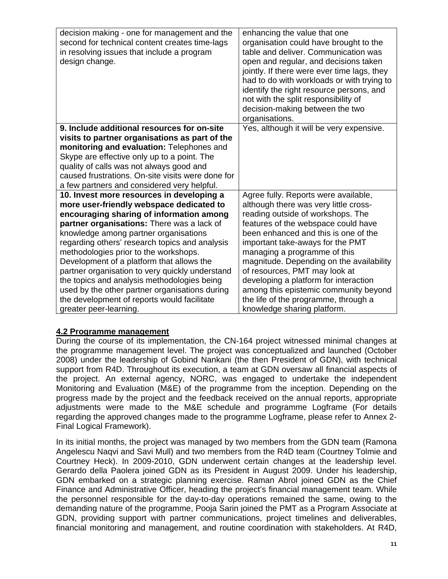| decision making - one for management and the<br>second for technical content creates time-lags<br>in resolving issues that include a program<br>design change. | enhancing the value that one<br>organisation could have brought to the<br>table and deliver. Communication was<br>open and regular, and decisions taken<br>jointly. If there were ever time lags, they<br>had to do with workloads or with trying to<br>identify the right resource persons, and<br>not with the split responsibility of<br>decision-making between the two<br>organisations. |
|----------------------------------------------------------------------------------------------------------------------------------------------------------------|-----------------------------------------------------------------------------------------------------------------------------------------------------------------------------------------------------------------------------------------------------------------------------------------------------------------------------------------------------------------------------------------------|
| 9. Include additional resources for on-site                                                                                                                    | Yes, although it will be very expensive.                                                                                                                                                                                                                                                                                                                                                      |
| visits to partner organisations as part of the                                                                                                                 |                                                                                                                                                                                                                                                                                                                                                                                               |
| monitoring and evaluation: Telephones and                                                                                                                      |                                                                                                                                                                                                                                                                                                                                                                                               |
| Skype are effective only up to a point. The                                                                                                                    |                                                                                                                                                                                                                                                                                                                                                                                               |
| quality of calls was not always good and                                                                                                                       |                                                                                                                                                                                                                                                                                                                                                                                               |
| caused frustrations. On-site visits were done for                                                                                                              |                                                                                                                                                                                                                                                                                                                                                                                               |
| a few partners and considered very helpful.                                                                                                                    |                                                                                                                                                                                                                                                                                                                                                                                               |
| 10. Invest more resources in developing a                                                                                                                      | Agree fully. Reports were available,                                                                                                                                                                                                                                                                                                                                                          |
| more user-friendly webspace dedicated to                                                                                                                       | although there was very little cross-                                                                                                                                                                                                                                                                                                                                                         |
| encouraging sharing of information among                                                                                                                       | reading outside of workshops. The                                                                                                                                                                                                                                                                                                                                                             |
| partner organisations: There was a lack of                                                                                                                     | features of the webspace could have                                                                                                                                                                                                                                                                                                                                                           |
| knowledge among partner organisations                                                                                                                          | been enhanced and this is one of the                                                                                                                                                                                                                                                                                                                                                          |
| regarding others' research topics and analysis                                                                                                                 | important take-aways for the PMT                                                                                                                                                                                                                                                                                                                                                              |
| methodologies prior to the workshops.                                                                                                                          | managing a programme of this                                                                                                                                                                                                                                                                                                                                                                  |
| Development of a platform that allows the                                                                                                                      | magnitude. Depending on the availability                                                                                                                                                                                                                                                                                                                                                      |
| partner organisation to very quickly understand                                                                                                                | of resources, PMT may look at                                                                                                                                                                                                                                                                                                                                                                 |
| the topics and analysis methodologies being                                                                                                                    | developing a platform for interaction                                                                                                                                                                                                                                                                                                                                                         |
| used by the other partner organisations during                                                                                                                 | among this epistemic community beyond                                                                                                                                                                                                                                                                                                                                                         |
| the development of reports would facilitate                                                                                                                    | the life of the programme, through a                                                                                                                                                                                                                                                                                                                                                          |
| greater peer-learning.                                                                                                                                         | knowledge sharing platform.                                                                                                                                                                                                                                                                                                                                                                   |

### **4.2 Programme management**

During the course of its implementation, the CN-164 project witnessed minimal changes at the programme management level. The project was conceptualized and launched (October 2008) under the leadership of Gobind Nankani (the then President of GDN), with technical support from R4D. Throughout its execution, a team at GDN oversaw all financial aspects of the project. An external agency, NORC, was engaged to undertake the independent Monitoring and Evaluation (M&E) of the programme from the inception. Depending on the progress made by the project and the feedback received on the annual reports, appropriate adjustments were made to the M&E schedule and programme Logframe (For details regarding the approved changes made to the programme Logframe, please refer to Annex 2- Final Logical Framework).

In its initial months, the project was managed by two members from the GDN team (Ramona Angelescu Naqvi and Savi Mull) and two members from the R4D team (Courtney Tolmie and Courtney Heck). In 2009-2010, GDN underwent certain changes at the leadership level. Gerardo della Paolera joined GDN as its President in August 2009. Under his leadership, GDN embarked on a strategic planning exercise. Raman Abrol joined GDN as the Chief Finance and Administrative Officer, heading the project's financial management team. While the personnel responsible for the day-to-day operations remained the same, owing to the demanding nature of the programme, Pooja Sarin joined the PMT as a Program Associate at GDN, providing support with partner communications, project timelines and deliverables, financial monitoring and management, and routine coordination with stakeholders. At R4D,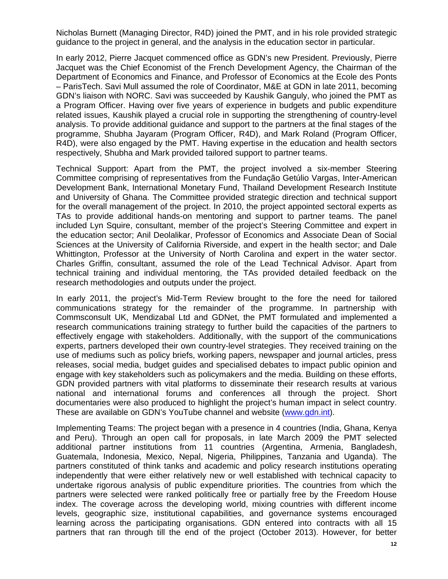Nicholas Burnett (Managing Director, R4D) joined the PMT, and in his role provided strategic guidance to the project in general, and the analysis in the education sector in particular.

In early 2012, Pierre Jacquet commenced office as GDN's new President. Previously, Pierre Jacquet was the Chief Economist of the French Development Agency, the Chairman of the Department of Economics and Finance, and Professor of Economics at the Ecole des Ponts – ParisTech. Savi Mull assumed the role of Coordinator, M&E at GDN in late 2011, becoming GDN's liaison with NORC. Savi was succeeded by Kaushik Ganguly, who joined the PMT as a Program Officer. Having over five years of experience in budgets and public expenditure related issues, Kaushik played a crucial role in supporting the strengthening of country-level analysis. To provide additional guidance and support to the partners at the final stages of the programme, Shubha Jayaram (Program Officer, R4D), and Mark Roland (Program Officer, R4D), were also engaged by the PMT. Having expertise in the education and health sectors respectively, Shubha and Mark provided tailored support to partner teams.

Technical Support: Apart from the PMT, the project involved a six-member Steering Committee comprising of representatives from the Fundação Getúlio Vargas, Inter-American Development Bank, International Monetary Fund, Thailand Development Research Institute and University of Ghana. The Committee provided strategic direction and technical support for the overall management of the project. In 2010, the project appointed sectoral experts as TAs to provide additional hands-on mentoring and support to partner teams. The panel included Lyn Squire, consultant, member of the project's Steering Committee and expert in the education sector; Anil Deolalikar, Professor of Economics and Associate Dean of Social Sciences at the University of California Riverside, and expert in the health sector; and Dale Whittington, Professor at the University of North Carolina and expert in the water sector. Charles Griffin, consultant, assumed the role of the Lead Technical Advisor. Apart from technical training and individual mentoring, the TAs provided detailed feedback on the research methodologies and outputs under the project.

In early 2011, the project's Mid-Term Review brought to the fore the need for tailored communications strategy for the remainder of the programme. In partnership with Commsconsult UK, Mendizabal Ltd and GDNet, the PMT formulated and implemented a research communications training strategy to further build the capacities of the partners to effectively engage with stakeholders. Additionally, with the support of the communications experts, partners developed their own country-level strategies. They received training on the use of mediums such as policy briefs, working papers, newspaper and journal articles, press releases, social media, budget guides and specialised debates to impact public opinion and engage with key stakeholders such as policymakers and the media. Building on these efforts, GDN provided partners with vital platforms to disseminate their research results at various national and international forums and conferences all through the project. Short documentaries were also produced to highlight the project's human impact in select country. These are available on GDN's YouTube channel and website (www.gdn.int).

Implementing Teams: The project began with a presence in 4 countries (India, Ghana, Kenya and Peru). Through an open call for proposals, in late March 2009 the PMT selected additional partner institutions from 11 countries (Argentina, Armenia, Bangladesh, Guatemala, Indonesia, Mexico, Nepal, Nigeria, Philippines, Tanzania and Uganda). The partners constituted of think tanks and academic and policy research institutions operating independently that were either relatively new or well established with technical capacity to undertake rigorous analysis of public expenditure priorities. The countries from which the partners were selected were ranked politically free or partially free by the Freedom House index. The coverage across the developing world, mixing countries with different income levels, geographic size, institutional capabilities, and governance systems encouraged learning across the participating organisations. GDN entered into contracts with all 15 partners that ran through till the end of the project (October 2013). However, for better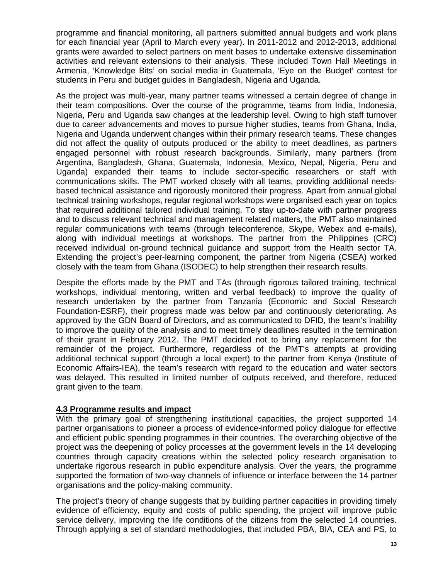programme and financial monitoring, all partners submitted annual budgets and work plans for each financial year (April to March every year). In 2011-2012 and 2012-2013, additional grants were awarded to select partners on merit bases to undertake extensive dissemination activities and relevant extensions to their analysis. These included Town Hall Meetings in Armenia, 'Knowledge Bits' on social media in Guatemala, 'Eye on the Budget' contest for students in Peru and budget guides in Bangladesh, Nigeria and Uganda.

As the project was multi-year, many partner teams witnessed a certain degree of change in their team compositions. Over the course of the programme, teams from India, Indonesia, Nigeria, Peru and Uganda saw changes at the leadership level. Owing to high staff turnover due to career advancements and moves to pursue higher studies, teams from Ghana, India, Nigeria and Uganda underwent changes within their primary research teams. These changes did not affect the quality of outputs produced or the ability to meet deadlines, as partners engaged personnel with robust research backgrounds. Similarly, many partners (from Argentina, Bangladesh, Ghana, Guatemala, Indonesia, Mexico, Nepal, Nigeria, Peru and Uganda) expanded their teams to include sector-specific researchers or staff with communications skills. The PMT worked closely with all teams, providing additional needsbased technical assistance and rigorously monitored their progress. Apart from annual global technical training workshops, regular regional workshops were organised each year on topics that required additional tailored individual training. To stay up-to-date with partner progress and to discuss relevant technical and management related matters, the PMT also maintained regular communications with teams (through teleconference, Skype, Webex and e-mails), along with individual meetings at workshops. The partner from the Philippines (CRC) received individual on-ground technical guidance and support from the Health sector TA. Extending the project's peer-learning component, the partner from Nigeria (CSEA) worked closely with the team from Ghana (ISODEC) to help strengthen their research results.

Despite the efforts made by the PMT and TAs (through rigorous tailored training, technical workshops, individual mentoring, written and verbal feedback) to improve the quality of research undertaken by the partner from Tanzania (Economic and Social Research Foundation-ESRF), their progress made was below par and continuously deteriorating. As approved by the GDN Board of Directors, and as communicated to DFID, the team's inability to improve the quality of the analysis and to meet timely deadlines resulted in the termination of their grant in February 2012. The PMT decided not to bring any replacement for the remainder of the project. Furthermore, regardless of the PMT's attempts at providing additional technical support (through a local expert) to the partner from Kenya (Institute of Economic Affairs-IEA), the team's research with regard to the education and water sectors was delayed. This resulted in limited number of outputs received, and therefore, reduced grant given to the team.

### **4.3 Programme results and impact**

With the primary goal of strengthening institutional capacities, the project supported 14 partner organisations to pioneer a process of evidence-informed policy dialogue for effective and efficient public spending programmes in their countries. The overarching objective of the project was the deepening of policy processes at the government levels in the 14 developing countries through capacity creations within the selected policy research organisation to undertake rigorous research in public expenditure analysis. Over the years, the programme supported the formation of two-way channels of influence or interface between the 14 partner organisations and the policy-making community.

The project's theory of change suggests that by building partner capacities in providing timely evidence of efficiency, equity and costs of public spending, the project will improve public service delivery, improving the life conditions of the citizens from the selected 14 countries. Through applying a set of standard methodologies, that included PBA, BIA, CEA and PS, to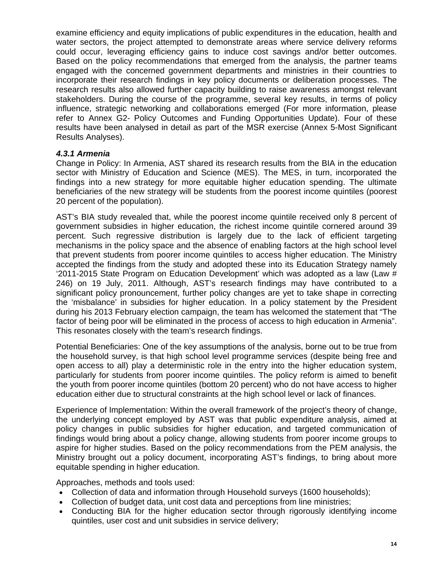examine efficiency and equity implications of public expenditures in the education, health and water sectors, the project attempted to demonstrate areas where service delivery reforms could occur, leveraging efficiency gains to induce cost savings and/or better outcomes. Based on the policy recommendations that emerged from the analysis, the partner teams engaged with the concerned government departments and ministries in their countries to incorporate their research findings in key policy documents or deliberation processes. The research results also allowed further capacity building to raise awareness amongst relevant stakeholders. During the course of the programme, several key results, in terms of policy influence, strategic networking and collaborations emerged (For more information, please refer to Annex G2- Policy Outcomes and Funding Opportunities Update). Four of these results have been analysed in detail as part of the MSR exercise (Annex 5-Most Significant Results Analyses).

### *4.3.1 Armenia*

Change in Policy: In Armenia, AST shared its research results from the BIA in the education sector with Ministry of Education and Science (MES). The MES, in turn, incorporated the findings into a new strategy for more equitable higher education spending. The ultimate beneficiaries of the new strategy will be students from the poorest income quintiles (poorest 20 percent of the population).

AST's BIA study revealed that, while the poorest income quintile received only 8 percent of government subsidies in higher education, the richest income quintile cornered around 39 percent. Such regressive distribution is largely due to the lack of efficient targeting mechanisms in the policy space and the absence of enabling factors at the high school level that prevent students from poorer income quintiles to access higher education. The Ministry accepted the findings from the study and adopted these into its Education Strategy namely '2011-2015 State Program on Education Development' which was adopted as a law (Law # 246) on 19 July, 2011. Although, AST's research findings may have contributed to a significant policy pronouncement, further policy changes are yet to take shape in correcting the 'misbalance' in subsidies for higher education. In a policy statement by the President during his 2013 February election campaign, the team has welcomed the statement that "The factor of being poor will be eliminated in the process of access to high education in Armenia". This resonates closely with the team's research findings.

Potential Beneficiaries: One of the key assumptions of the analysis, borne out to be true from the household survey, is that high school level programme services (despite being free and open access to all) play a deterministic role in the entry into the higher education system, particularly for students from poorer income quintiles. The policy reform is aimed to benefit the youth from poorer income quintiles (bottom 20 percent) who do not have access to higher education either due to structural constraints at the high school level or lack of finances.

Experience of Implementation: Within the overall framework of the project's theory of change, the underlying concept employed by AST was that public expenditure analysis, aimed at policy changes in public subsidies for higher education, and targeted communication of findings would bring about a policy change, allowing students from poorer income groups to aspire for higher studies. Based on the policy recommendations from the PEM analysis, the Ministry brought out a policy document, incorporating AST's findings, to bring about more equitable spending in higher education.

Approaches, methods and tools used:

- Collection of data and information through Household surveys (1600 households);
- Collection of budget data, unit cost data and perceptions from line ministries;
- Conducting BIA for the higher education sector through rigorously identifying income quintiles, user cost and unit subsidies in service delivery;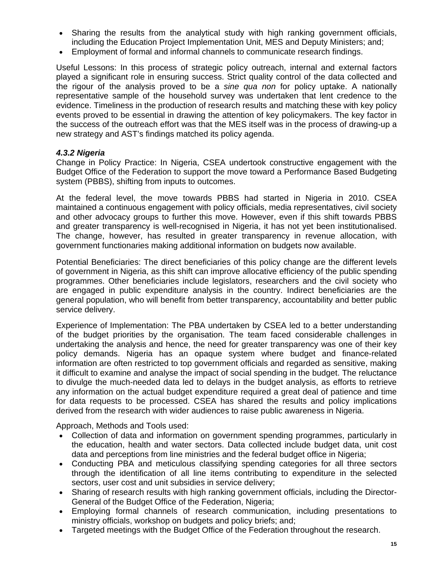- Sharing the results from the analytical study with high ranking government officials, including the Education Project Implementation Unit, MES and Deputy Ministers; and;
- Employment of formal and informal channels to communicate research findings.

Useful Lessons: In this process of strategic policy outreach, internal and external factors played a significant role in ensuring success. Strict quality control of the data collected and the rigour of the analysis proved to be a *sine qua non* for policy uptake. A nationally representative sample of the household survey was undertaken that lent credence to the evidence. Timeliness in the production of research results and matching these with key policy events proved to be essential in drawing the attention of key policymakers. The key factor in the success of the outreach effort was that the MES itself was in the process of drawing-up a new strategy and AST's findings matched its policy agenda.

## *4.3.2 Nigeria*

Change in Policy Practice: In Nigeria, CSEA undertook constructive engagement with the Budget Office of the Federation to support the move toward a Performance Based Budgeting system (PBBS), shifting from inputs to outcomes.

At the federal level, the move towards PBBS had started in Nigeria in 2010. CSEA maintained a continuous engagement with policy officials, media representatives, civil society and other advocacy groups to further this move. However, even if this shift towards PBBS and greater transparency is well-recognised in Nigeria, it has not yet been institutionalised. The change, however, has resulted in greater transparency in revenue allocation, with government functionaries making additional information on budgets now available.

Potential Beneficiaries: The direct beneficiaries of this policy change are the different levels of government in Nigeria, as this shift can improve allocative efficiency of the public spending programmes. Other beneficiaries include legislators, researchers and the civil society who are engaged in public expenditure analysis in the country. Indirect beneficiaries are the general population, who will benefit from better transparency, accountability and better public service delivery.

Experience of Implementation: The PBA undertaken by CSEA led to a better understanding of the budget priorities by the organisation. The team faced considerable challenges in undertaking the analysis and hence, the need for greater transparency was one of their key policy demands. Nigeria has an opaque system where budget and finance-related information are often restricted to top government officials and regarded as sensitive, making it difficult to examine and analyse the impact of social spending in the budget. The reluctance to divulge the much-needed data led to delays in the budget analysis, as efforts to retrieve any information on the actual budget expenditure required a great deal of patience and time for data requests to be processed. CSEA has shared the results and policy implications derived from the research with wider audiences to raise public awareness in Nigeria.

Approach, Methods and Tools used:

- Collection of data and information on government spending programmes, particularly in the education, health and water sectors. Data collected include budget data, unit cost data and perceptions from line ministries and the federal budget office in Nigeria;
- Conducting PBA and meticulous classifying spending categories for all three sectors through the identification of all line items contributing to expenditure in the selected sectors, user cost and unit subsidies in service delivery;
- Sharing of research results with high ranking government officials, including the Director-General of the Budget Office of the Federation, Nigeria;
- Employing formal channels of research communication, including presentations to ministry officials, workshop on budgets and policy briefs; and;
- Targeted meetings with the Budget Office of the Federation throughout the research.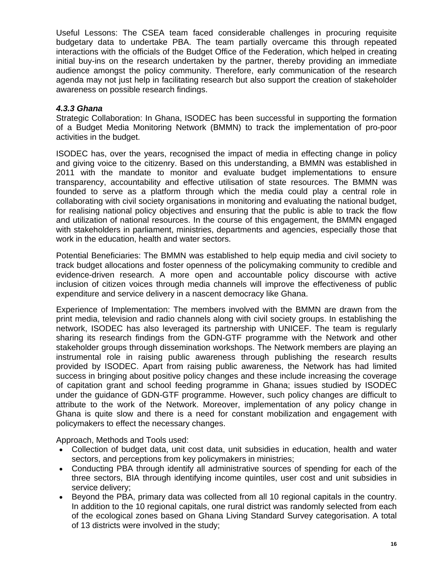Useful Lessons: The CSEA team faced considerable challenges in procuring requisite budgetary data to undertake PBA. The team partially overcame this through repeated interactions with the officials of the Budget Office of the Federation, which helped in creating initial buy-ins on the research undertaken by the partner, thereby providing an immediate audience amongst the policy community. Therefore, early communication of the research agenda may not just help in facilitating research but also support the creation of stakeholder awareness on possible research findings.

## *4.3.3 Ghana*

Strategic Collaboration: In Ghana, ISODEC has been successful in supporting the formation of a Budget Media Monitoring Network (BMMN) to track the implementation of pro-poor activities in the budget.

ISODEC has, over the years, recognised the impact of media in effecting change in policy and giving voice to the citizenry. Based on this understanding, a BMMN was established in 2011 with the mandate to monitor and evaluate budget implementations to ensure transparency, accountability and effective utilisation of state resources. The BMMN was founded to serve as a platform through which the media could play a central role in collaborating with civil society organisations in monitoring and evaluating the national budget, for realising national policy objectives and ensuring that the public is able to track the flow and utilization of national resources. In the course of this engagement, the BMMN engaged with stakeholders in parliament, ministries, departments and agencies, especially those that work in the education, health and water sectors.

Potential Beneficiaries: The BMMN was established to help equip media and civil society to track budget allocations and foster openness of the policymaking community to credible and evidence-driven research. A more open and accountable policy discourse with active inclusion of citizen voices through media channels will improve the effectiveness of public expenditure and service delivery in a nascent democracy like Ghana.

Experience of Implementation: The members involved with the BMMN are drawn from the print media, television and radio channels along with civil society groups. In establishing the network, ISODEC has also leveraged its partnership with UNICEF. The team is regularly sharing its research findings from the GDN-GTF programme with the Network and other stakeholder groups through dissemination workshops. The Network members are playing an instrumental role in raising public awareness through publishing the research results provided by ISODEC. Apart from raising public awareness, the Network has had limited success in bringing about positive policy changes and these include increasing the coverage of capitation grant and school feeding programme in Ghana; issues studied by ISODEC under the guidance of GDN-GTF programme. However, such policy changes are difficult to attribute to the work of the Network. Moreover, implementation of any policy change in Ghana is quite slow and there is a need for constant mobilization and engagement with policymakers to effect the necessary changes.

Approach, Methods and Tools used:

- Collection of budget data, unit cost data, unit subsidies in education, health and water sectors, and perceptions from key policymakers in ministries;
- Conducting PBA through identify all administrative sources of spending for each of the three sectors, BIA through identifying income quintiles, user cost and unit subsidies in service delivery;
- Beyond the PBA, primary data was collected from all 10 regional capitals in the country. In addition to the 10 regional capitals, one rural district was randomly selected from each of the ecological zones based on Ghana Living Standard Survey categorisation. A total of 13 districts were involved in the study;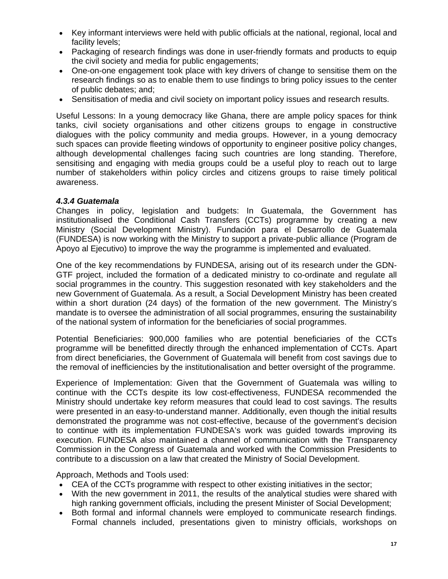- Key informant interviews were held with public officials at the national, regional, local and facility levels;
- Packaging of research findings was done in user-friendly formats and products to equip the civil society and media for public engagements;
- One-on-one engagement took place with key drivers of change to sensitise them on the research findings so as to enable them to use findings to bring policy issues to the center of public debates; and;
- Sensitisation of media and civil society on important policy issues and research results.

Useful Lessons: In a young democracy like Ghana, there are ample policy spaces for think tanks, civil society organisations and other citizens groups to engage in constructive dialogues with the policy community and media groups. However, in a young democracy such spaces can provide fleeting windows of opportunity to engineer positive policy changes, although developmental challenges facing such countries are long standing. Therefore, sensitising and engaging with media groups could be a useful ploy to reach out to large number of stakeholders within policy circles and citizens groups to raise timely political awareness.

### *4.3.4 Guatemala*

Changes in policy, legislation and budgets: In Guatemala, the Government has institutionalised the Conditional Cash Transfers (CCTs) programme by creating a new Ministry (Social Development Ministry). Fundación para el Desarrollo de Guatemala (FUNDESA) is now working with the Ministry to support a private-public alliance (Program de Apoyo al Ejecutivo) to improve the way the programme is implemented and evaluated.

One of the key recommendations by FUNDESA, arising out of its research under the GDN-GTF project, included the formation of a dedicated ministry to co-ordinate and regulate all social programmes in the country. This suggestion resonated with key stakeholders and the new Government of Guatemala. As a result, a Social Development Ministry has been created within a short duration (24 days) of the formation of the new government. The Ministry's mandate is to oversee the administration of all social programmes, ensuring the sustainability of the national system of information for the beneficiaries of social programmes.

Potential Beneficiaries: 900,000 families who are potential beneficiaries of the CCTs programme will be benefitted directly through the enhanced implementation of CCTs. Apart from direct beneficiaries, the Government of Guatemala will benefit from cost savings due to the removal of inefficiencies by the institutionalisation and better oversight of the programme.

Experience of Implementation: Given that the Government of Guatemala was willing to continue with the CCTs despite its low cost-effectiveness, FUNDESA recommended the Ministry should undertake key reform measures that could lead to cost savings. The results were presented in an easy-to-understand manner. Additionally, even though the initial results demonstrated the programme was not cost-effective, because of the government's decision to continue with its implementation FUNDESA's work was guided towards improving its execution. FUNDESA also maintained a channel of communication with the Transparency Commission in the Congress of Guatemala and worked with the Commission Presidents to contribute to a discussion on a law that created the Ministry of Social Development.

Approach, Methods and Tools used:

- CEA of the CCTs programme with respect to other existing initiatives in the sector;
- With the new government in 2011, the results of the analytical studies were shared with high ranking government officials, including the present Minister of Social Development;
- Both formal and informal channels were employed to communicate research findings. Formal channels included, presentations given to ministry officials, workshops on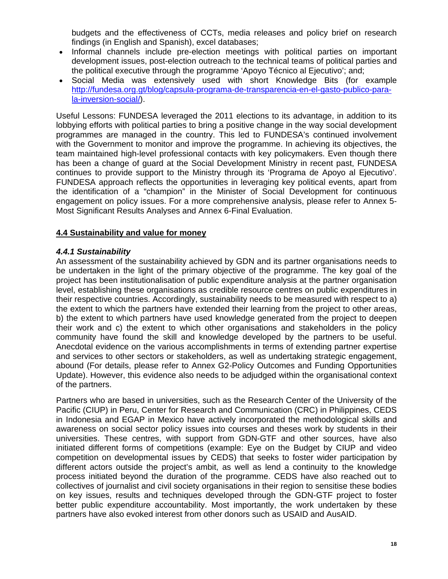budgets and the effectiveness of CCTs, media releases and policy brief on research findings (in English and Spanish), excel databases;

- Informal channels include pre-election meetings with political parties on important development issues, post-election outreach to the technical teams of political parties and the political executive through the programme 'Apoyo Técnico al Ejecutivo'; and;
- Social Media was extensively used with short Knowledge Bits (for example http://fundesa.org.gt/blog/capsula-programa-de-transparencia-en-el-gasto-publico-parala-inversion-social/).

Useful Lessons: FUNDESA leveraged the 2011 elections to its advantage, in addition to its lobbying efforts with political parties to bring a positive change in the way social development programmes are managed in the country. This led to FUNDESA's continued involvement with the Government to monitor and improve the programme. In achieving its objectives, the team maintained high-level professional contacts with key policymakers. Even though there has been a change of guard at the Social Development Ministry in recent past, FUNDESA continues to provide support to the Ministry through its 'Programa de Apoyo al Ejecutivo'. FUNDESA approach reflects the opportunities in leveraging key political events, apart from the identification of a "champion" in the Minister of Social Development for continuous engagement on policy issues. For a more comprehensive analysis, please refer to Annex 5- Most Significant Results Analyses and Annex 6-Final Evaluation.

## **4.4 Sustainability and value for money**

## *4.4.1 Sustainability*

An assessment of the sustainability achieved by GDN and its partner organisations needs to be undertaken in the light of the primary objective of the programme. The key goal of the project has been institutionalisation of public expenditure analysis at the partner organisation level, establishing these organisations as credible resource centres on public expenditures in their respective countries. Accordingly, sustainability needs to be measured with respect to a) the extent to which the partners have extended their learning from the project to other areas, b) the extent to which partners have used knowledge generated from the project to deepen their work and c) the extent to which other organisations and stakeholders in the policy community have found the skill and knowledge developed by the partners to be useful. Anecdotal evidence on the various accomplishments in terms of extending partner expertise and services to other sectors or stakeholders, as well as undertaking strategic engagement, abound (For details, please refer to Annex G2-Policy Outcomes and Funding Opportunities Update). However, this evidence also needs to be adjudged within the organisational context of the partners.

Partners who are based in universities, such as the Research Center of the University of the Pacific (CIUP) in Peru, Center for Research and Communication (CRC) in Philippines, CEDS in Indonesia and EGAP in Mexico have actively incorporated the methodological skills and awareness on social sector policy issues into courses and theses work by students in their universities. These centres, with support from GDN-GTF and other sources, have also initiated different forms of competitions (example: Eye on the Budget by CIUP and video competition on developmental issues by CEDS) that seeks to foster wider participation by different actors outside the project's ambit, as well as lend a continuity to the knowledge process initiated beyond the duration of the programme. CEDS have also reached out to collectives of journalist and civil society organisations in their region to sensitise these bodies on key issues, results and techniques developed through the GDN-GTF project to foster better public expenditure accountability. Most importantly, the work undertaken by these partners have also evoked interest from other donors such as USAID and AusAID.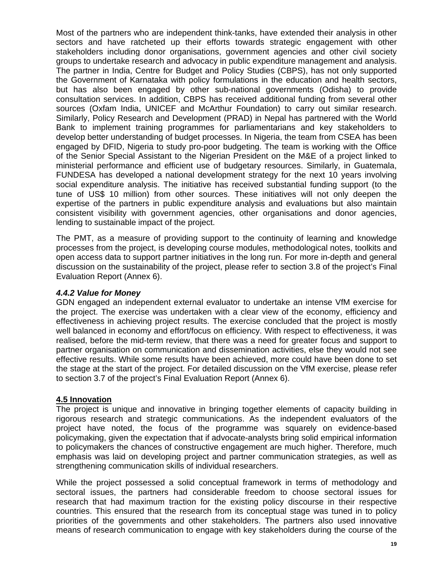Most of the partners who are independent think-tanks, have extended their analysis in other sectors and have ratcheted up their efforts towards strategic engagement with other stakeholders including donor organisations, government agencies and other civil society groups to undertake research and advocacy in public expenditure management and analysis. The partner in India, Centre for Budget and Policy Studies (CBPS), has not only supported the Government of Karnataka with policy formulations in the education and health sectors, but has also been engaged by other sub-national governments (Odisha) to provide consultation services. In addition, CBPS has received additional funding from several other sources (Oxfam India, UNICEF and McArthur Foundation) to carry out similar research. Similarly, Policy Research and Development (PRAD) in Nepal has partnered with the World Bank to implement training programmes for parliamentarians and key stakeholders to develop better understanding of budget processes. In Nigeria, the team from CSEA has been engaged by DFID, Nigeria to study pro-poor budgeting. The team is working with the Office of the Senior Special Assistant to the Nigerian President on the M&E of a project linked to ministerial performance and efficient use of budgetary resources. Similarly, in Guatemala, FUNDESA has developed a national development strategy for the next 10 years involving social expenditure analysis. The initiative has received substantial funding support (to the tune of US\$ 10 million) from other sources. These initiatives will not only deepen the expertise of the partners in public expenditure analysis and evaluations but also maintain consistent visibility with government agencies, other organisations and donor agencies, lending to sustainable impact of the project.

The PMT, as a measure of providing support to the continuity of learning and knowledge processes from the project, is developing course modules, methodological notes, toolkits and open access data to support partner initiatives in the long run. For more in-depth and general discussion on the sustainability of the project, please refer to section 3.8 of the project's Final Evaluation Report (Annex 6).

#### *4.4.2 Value for Money*

GDN engaged an independent external evaluator to undertake an intense VfM exercise for the project. The exercise was undertaken with a clear view of the economy, efficiency and effectiveness in achieving project results. The exercise concluded that the project is mostly well balanced in economy and effort/focus on efficiency. With respect to effectiveness, it was realised, before the mid-term review, that there was a need for greater focus and support to partner organisation on communication and dissemination activities, else they would not see effective results. While some results have been achieved, more could have been done to set the stage at the start of the project. For detailed discussion on the VfM exercise, please refer to section 3.7 of the project's Final Evaluation Report (Annex 6).

### **4.5 Innovation**

The project is unique and innovative in bringing together elements of capacity building in rigorous research and strategic communications. As the independent evaluators of the project have noted, the focus of the programme was squarely on evidence-based policymaking, given the expectation that if advocate-analysts bring solid empirical information to policymakers the chances of constructive engagement are much higher. Therefore, much emphasis was laid on developing project and partner communication strategies, as well as strengthening communication skills of individual researchers.

While the project possessed a solid conceptual framework in terms of methodology and sectoral issues, the partners had considerable freedom to choose sectoral issues for research that had maximum traction for the existing policy discourse in their respective countries. This ensured that the research from its conceptual stage was tuned in to policy priorities of the governments and other stakeholders. The partners also used innovative means of research communication to engage with key stakeholders during the course of the